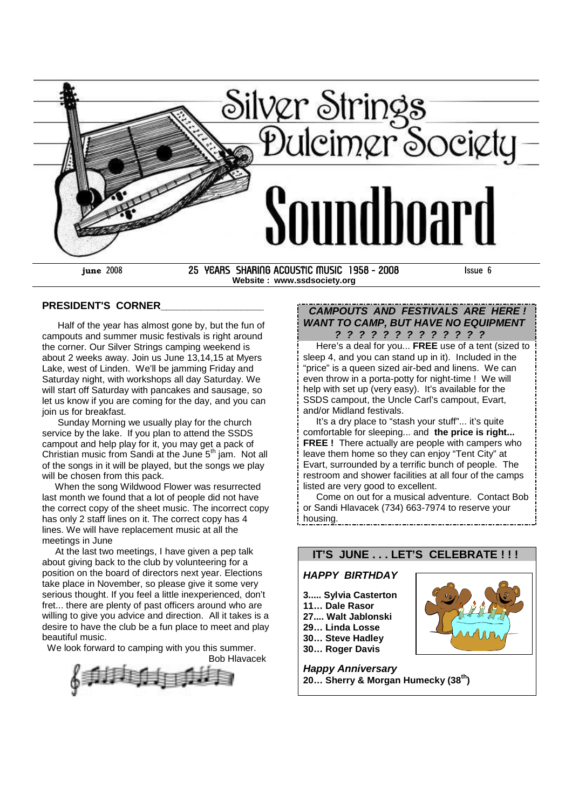

**Website : www.ssdsociety.org**

### **PRESIDENT'S CORNER\_\_\_\_\_\_\_\_\_\_\_\_\_\_\_\_\_\_**

Half of the year has almost gone by, but the fun of campouts and summer music festivals is right around the corner. Our Silver Strings camping weekend is about 2 weeks away. Join us June 13,14,15 at Myers Lake, west of Linden. We'll be jamming Friday and Saturday night, with workshops all day Saturday. We will start off Saturday with pancakes and sausage, so let us know if you are coming for the day, and you can join us for breakfast.

Sunday Morning we usually play for the church service by the lake. If you plan to attend the SSDS campout and help play for it, you may get a pack of Christian music from Sandi at the June  $5<sup>th</sup>$  jam. Not all of the songs in it will be played, but the songs we play will be chosen from this pack.

When the song Wildwood Flower was resurrected last month we found that a lot of people did not have the correct copy of the sheet music. The incorrect copy has only 2 staff lines on it. The correct copy has 4 lines. We will have replacement music at all the meetings in June

At the last two meetings, I have given a pep talk about giving back to the club by volunteering for a position on the board of directors next year. Elections take place in November, so please give it some very serious thought. If you feel a little inexperienced, don't fret... there are plenty of past officers around who are willing to give you advice and direction. All it takes is a desire to have the club be a fun place to meet and play beautiful music.

We look forward to camping with you this summer.

Bob Hlavacek

# *CAMPOUTS AND FESTIVALS ARE HERE ! WANT TO CAMP, BUT HAVE NO EQUIPMENT*

*? ? ? ? ? ? ? ? ? ? ? ? ?* Here's a deal for you... **FREE** use of a tent (sized to sleep 4, and you can stand up in it). Included in the "price" is a queen sized air-bed and linens. We can even throw in a porta-potty for night-time ! We will help with set up (very easy). It's available for the SSDS campout, the Uncle Carl's campout, Evart, and/or Midland festivals.

It's a dry place to "stash your stuff"... it's quite comfortable for sleeping... and **the price is right... FREE !** There actually are people with campers who leave them home so they can enjoy "Tent City" at Evart, surrounded by a terrific bunch of people. The restroom and shower facilities at all four of the camps listed are very good to excellent.

Come on out for a musical adventure. Contact Bob or Sandi Hlavacek (734) 663-7974 to reserve your housing.

# **IT'S JUNE . . . LET'S CELEBRATE ! ! !**

# *HAPPY BIRTHDAY*

- **3..... Sylvia Casterton**
- **11… Dale Rasor**
- **27.... Walt Jablonski**
- **29… Linda Losse**
- **30… Steve Hadley**
- **30… Roger Davis**



*Happy Anniversary* **20… Sherry & Morgan Humecky (38th)**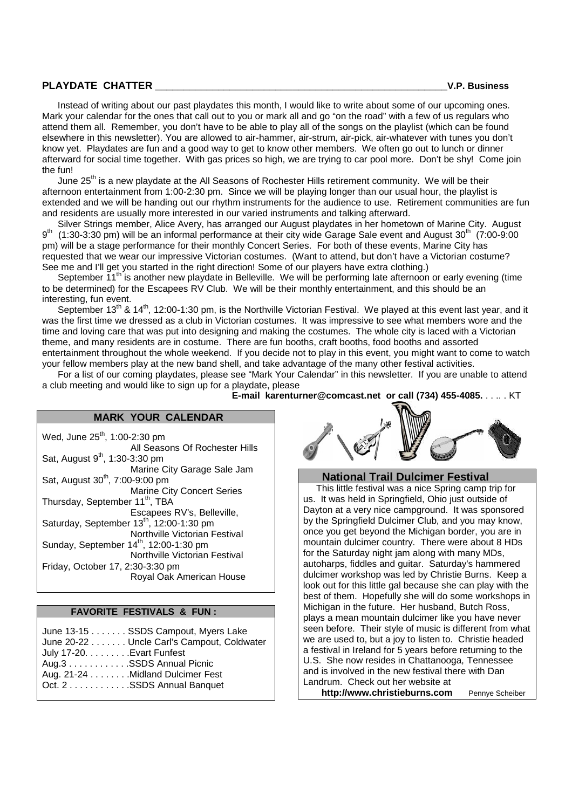### **PLAYDATE CHATTER \_\_\_\_\_\_\_\_\_\_\_\_\_\_\_\_\_\_\_\_\_\_\_\_\_\_\_\_\_\_\_\_\_\_\_\_\_\_\_\_\_\_\_\_\_\_\_\_\_\_\_V.P. Business**

Instead of writing about our past playdates this month, I would like to write about some of our upcoming ones. Mark your calendar for the ones that call out to you or mark all and go "on the road" with a few of us regulars who attend them all. Remember, you don't have to be able to play all of the songs on the playlist (which can be found elsewhere in this newsletter). You are allowed to air-hammer, air-strum, air-pick, air-whatever with tunes you don't know yet. Playdates are fun and a good way to get to know other members. We often go out to lunch or dinner afterward for social time together. With gas prices so high, we are trying to car pool more. Don't be shy! Come join the fun!

June 25<sup>th</sup> is a new playdate at the All Seasons of Rochester Hills retirement community. We will be their afternoon entertainment from 1:00-2:30 pm. Since we will be playing longer than our usual hour, the playlist is extended and we will be handing out our rhythm instruments for the audience to use. Retirement communities are fun and residents are usually more interested in our varied instruments and talking afterward.

Silver Strings member, Alice Avery, has arranged our August playdates in her hometown of Marine City. August  $9<sup>th</sup>$  $(1:30-3:30$  pm) will be an informal performance at their city wide Garage Sale event and August  $30<sup>th</sup>$  (7:00-9:00) pm) will be a stage performance for their monthly Concert Series. For both of these events, Marine City has requested that we wear our impressive Victorian costumes. (Want to attend, but don't have a Victorian costume? See me and I'll get you started in the right direction! Some of our players have extra clothing.)

September 11<sup>th</sup> is another new playdate in Belleville. We will be performing late afternoon or early evening (time to be determined) for the Escapees RV Club. We will be their monthly entertainment, and this should be an interesting, fun event.

September 13<sup>th</sup> & 14<sup>th</sup>, 12:00-1:30 pm, is the Northville Victorian Festival. We played at this event last year, and it was the first time we dressed as a club in Victorian costumes. It was impressive to see what members wore and the time and loving care that was put into designing and making the costumes. The whole city is laced with a Victorian theme, and many residents are in costume. There are fun booths, craft booths, food booths and assorted entertainment throughout the whole weekend. If you decide not to play in this event, you might want to come to watch your fellow members play at the new band shell, and take advantage of the many other festival activities.

For a list of our coming playdates, please see "Mark Your Calendar" in this newsletter. If you are unable to attend a club meeting and would like to sign up for a playdate, please

**E-mail karenturner@comcast.net or call (734) 455-4085.** . . .. . KT

### **MARK YOUR CALENDAR**

Wed, June 25<sup>th</sup>, 1:00-2:30 pm All Seasons Of Rochester Hills Sat, August  $9<sup>th</sup>$ , 1:30-3:30 pm Marine City Garage Sale Jam Sat, August 30<sup>th</sup>, 7:00-9:00 pm Marine City Concert Series Thursday, September 11<sup>th</sup>, TBA Escapees RV's, Belleville, Saturday, September 13<sup>th</sup>, 12:00-1:30 pm Northville Victorian Festival Sunday, September 14<sup>th</sup>, 12:00-1:30 pm Northville Victorian Festival Friday, October 17, 2:30-3:30 pm Royal Oak American House

#### **FAVORITE FESTIVALS & FUN :**

|                           | June 13-15 SSDS Campout, Myers Lake        |
|---------------------------|--------------------------------------------|
|                           | June 20-22 Uncle Carl's Campout, Coldwater |
| July 17-20. Evart Funfest |                                            |
|                           | Aug.3 SSDS Annual Picnic                   |
|                           | Aug. 21-24 Midland Dulcimer Fest           |
|                           | Oct. 2SSDS Annual Banquet                  |
|                           |                                            |



#### **National Trail Dulcimer Festival**

This little festival was a nice Spring camp trip for us. It was held in Springfield, Ohio just outside of Dayton at a very nice campground. It was sponsored by the Springfield Dulcimer Club, and you may know, once you get beyond the Michigan border, you are in mountain dulcimer country. There were about 8 HDs for the Saturday night jam along with many MDs. autoharps, fiddles and guitar. Saturday's hammered dulcimer workshop was led by Christie Burns. Keep a look out for this little gal because she can play with the best of them. Hopefully she will do some workshops in Michigan in the future. Her husband, Butch Ross, plays a mean mountain dulcimer like you have never seen before. Their style of music is different from what we are used to, but a joy to listen to. Christie headed a festival in Ireland for 5 years before returning to the U.S. She now resides in Chattanooga, Tennessee and is involved in the new festival there with Dan Landrum. Check out her website at **http://www.christieburns.com** Pennye Scheiber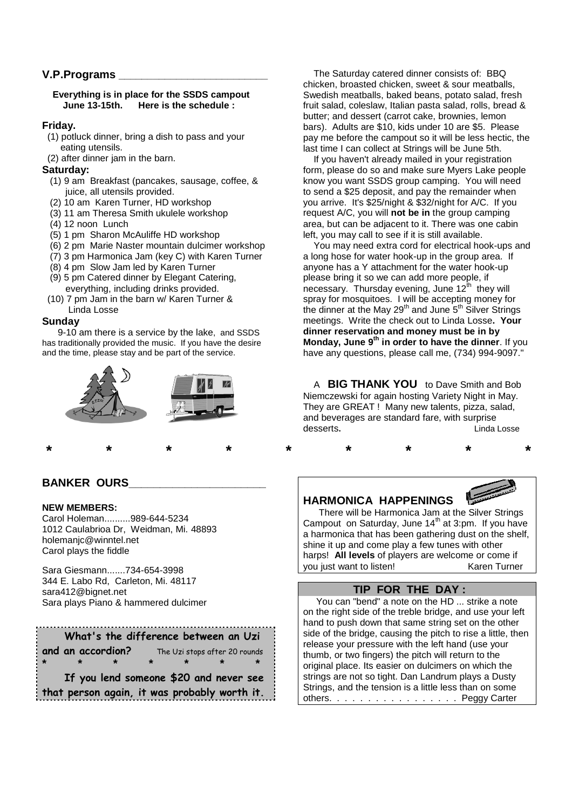### **V.P.Programs \_\_\_\_\_\_\_\_\_\_\_\_\_\_\_\_\_\_\_\_\_\_\_\_\_\_**

#### **Everything is in place for the SSDS campout June 13-15th. Here is the schedule :**

#### **Friday.**

- (1) potluck dinner, bring a dish to pass and your eating utensils.
- (2) after dinner jam in the barn.

#### **Saturday:**

- (1) 9 am Breakfast (pancakes, sausage, coffee, & juice, all utensils provided.
- (2) 10 am Karen Turner, HD workshop
- (3) 11 am Theresa Smith ukulele workshop
- (4) 12 noon Lunch
- (5) 1 pm Sharon McAuliffe HD workshop
- (6) 2 pm Marie Naster mountain dulcimer workshop
- (7) 3 pm Harmonica Jam (key C) with Karen Turner
- (8) 4 pm Slow Jam led by Karen Turner
- (9) 5 pm Catered dinner by Elegant Catering, everything, including drinks provided.
- (10) 7 pm Jam in the barn w/ Karen Turner & Linda Losse

#### **Sunday**

9-10 am there is a service by the lake, and SSDS has traditionally provided the music. If you have the desire and the time, please stay and be part of the service.



# **BANKER OURS\_\_\_\_\_\_\_\_\_\_\_\_\_\_\_\_\_\_\_\_\_\_**

#### **NEW MEMBERS:**

Carol Holeman..........989-644-5234 1012 Caulabrioa Dr, Weidman, Mi. 48893 holemanjc@winntel.net Carol plays the fiddle

Sara Giesmann.......734-654-3998 344 E. Labo Rd, Carleton, Mi. 48117 sara412@bignet.net Sara plays Piano & hammered dulcimer

|                                                                                        | What's the difference between an Uzi |  |  |  |  |  |  |
|----------------------------------------------------------------------------------------|--------------------------------------|--|--|--|--|--|--|
| and an accordion?<br>The Uzi stops after 20 rounds                                     |                                      |  |  |  |  |  |  |
| $\star$                                                                                |                                      |  |  |  |  |  |  |
| If you lend someone \$20 and never see<br>that person again, it was probably worth it. |                                      |  |  |  |  |  |  |

The Saturday catered dinner consists of: BBQ chicken, broasted chicken, sweet & sour meatballs, Swedish meatballs, baked beans, potato salad, fresh fruit salad, coleslaw, Italian pasta salad, rolls, bread & butter; and dessert (carrot cake, brownies, lemon bars). Adults are \$10, kids under 10 are \$5. Please pay me before the campout so it will be less hectic, the last time I can collect at Strings will be June 5th.

If you haven't already mailed in your registration form, please do so and make sure Myers Lake people know you want SSDS group camping. You will need to send a \$25 deposit, and pay the remainder when you arrive. It's \$25/night & \$32/night for A/C. If you request A/C, you will **not be in** the group camping area, but can be adjacent to it. There was one cabin left, you may call to see if it is still available.

You may need extra cord for electrical hook-ups and a long hose for water hook-up in the group area. If anyone has a Y attachment for the water hook-up please bring it so we can add more people, if necessary. Thursday evening, June  $12<sup>th</sup>$  they will spray for mosquitoes. I will be accepting money for the dinner at the May 29<sup>th</sup> and June  $5<sup>th</sup>$  Silver Strings meetings. Write the check out to Linda Losse**. Your dinner reservation and money must be in by Monday, June 9th in order to have the dinner**. If you have any questions, please call me, (734) 994-9097."

A **BIG THANK YOU** to Dave Smith and Bob Niemczewski for again hosting Variety Night in May. They are GREAT ! Many new talents, pizza, salad, and beverages are standard fare, with surprise desserts**.** Linda Losse

# **HARMONICA HAPPENINGS**

**\* \* \* \* \* \* \* \* \***



There will be Harmonica Jam at the Silver Strings Campout on Saturday, June 14<sup>th</sup> at 3:pm. If you have a harmonica that has been gathering dust on the shelf, shine it up and come play a few tunes with other harps! **All levels** of players are welcome or come if you just want to listen! Karen Turner

# **TIP FOR THE DAY :**

You can "bend" a note on the HD ... strike a note on the right side of the treble bridge, and use your left hand to push down that same string set on the other side of the bridge, causing the pitch to rise a little, then release your pressure with the left hand (use your thumb, or two fingers) the pitch will return to the original place. Its easier on dulcimers on which the strings are not so tight. Dan Landrum plays a Dusty Strings, and the tension is a little less than on some others. . . . . . . . . . . . . . . . . Peggy Carter